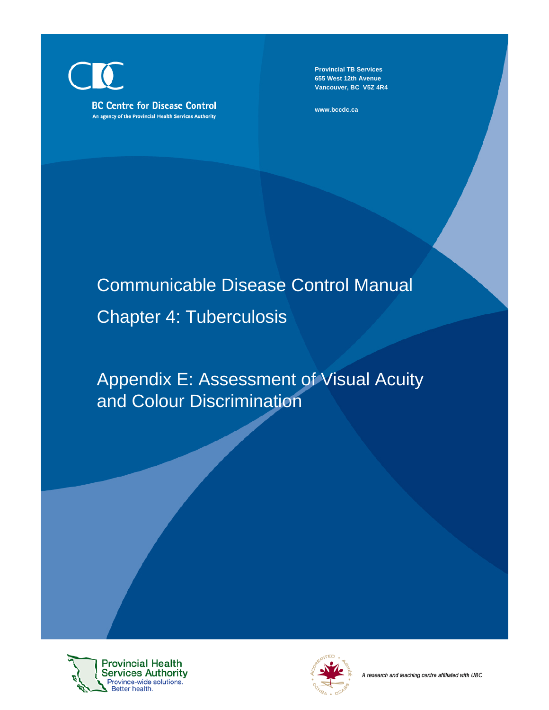**BC Centre for Disease Control** An agency of the Provincial Health Services Authority

**Provincial TB Services 655 West 12th Avenue Vancouver, BC V5Z 4R4**

**www.bccdc.ca**

# Communicable Disease Control Manual Chapter 4: Tuberculosis

## Appendix E: Assessment of Visual Acuity and Colour Discrimination



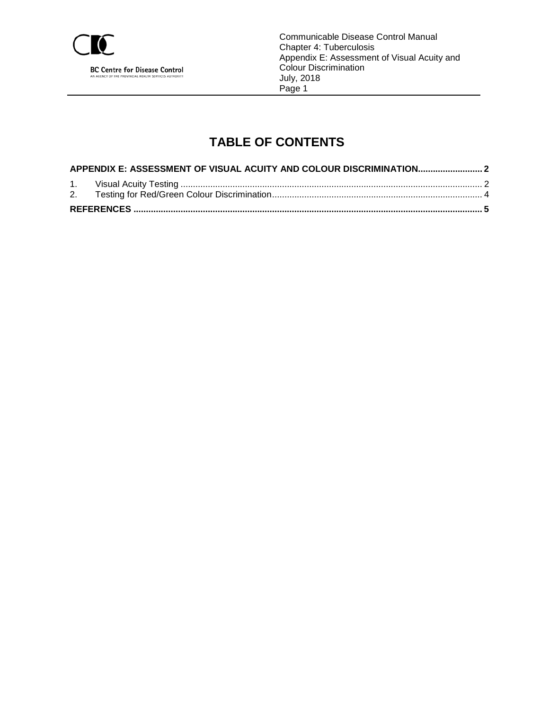

Communicable Disease Control Manual Chapter 4: Tuberculosis Appendix E: Assessment of Visual Acuity and Colour Discrimination July, 2018 Page 1

## **TABLE OF CONTENTS**

| APPENDIX E: ASSESSMENT OF VISUAL ACUITY AND COLOUR DISCRIMINATION |  |  |  |
|-------------------------------------------------------------------|--|--|--|
|                                                                   |  |  |  |
|                                                                   |  |  |  |
|                                                                   |  |  |  |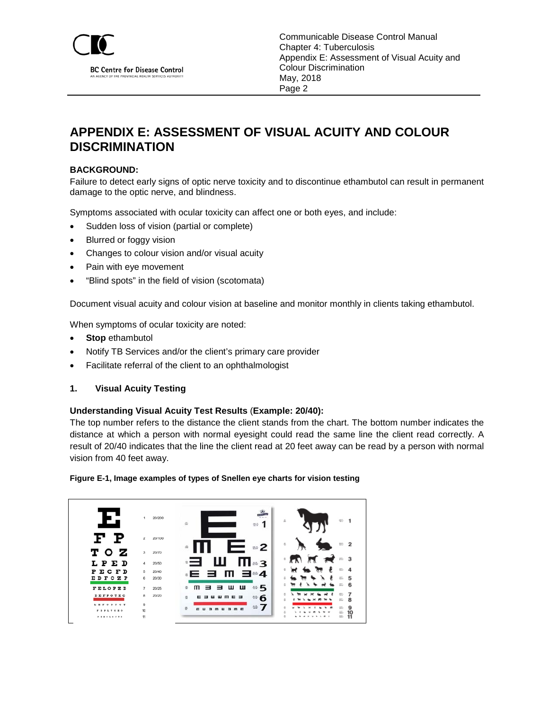

### <span id="page-2-0"></span>**APPENDIX E: ASSESSMENT OF VISUAL ACUITY AND COLOUR DISCRIMINATION**

#### **BACKGROUND:**

Failure to detect early signs of optic nerve toxicity and to discontinue ethambutol can result in permanent damage to the optic nerve, and blindness.

Symptoms associated with ocular toxicity can affect one or both eyes, and include:

- Sudden loss of vision (partial or complete)
- Blurred or foggy vision
- Changes to colour vision and/or visual acuity
- Pain with eye movement
- "Blind spots" in the field of vision (scotomata)

Document visual acuity and colour vision at baseline and monitor monthly in clients taking ethambutol.

When symptoms of ocular toxicity are noted:

- **Stop** ethambutol
- Notify TB Services and/or the client's primary care provider
- Facilitate referral of the client to an ophthalmologist

#### <span id="page-2-1"></span>**1. Visual Acuity Testing**

#### **Understanding Visual Acuity Test Results** (**Example: 20/40):**

The top number refers to the distance the client stands from the chart. The bottom number indicates the distance at which a person with normal eyesight could read the same line the client read correctly. A result of 20/40 indicates that the line the client read at 20 feet away can be read by a person with normal vision from 40 feet away.



|                                                                                                                         | 20/200<br>1.                          | a in<br>95<br>A.<br>造<br>72.1                                                                  |
|-------------------------------------------------------------------------------------------------------------------------|---------------------------------------|------------------------------------------------------------------------------------------------|
| F P                                                                                                                     | $\overline{2}$<br>20/100              | $\overline{2}$<br>芒<br>-<br>$\approx$ 2                                                        |
| тоz<br>LPED                                                                                                             | 3<br>20/70<br>20/50<br>4              | $\overline{M}$ $\overline{M}$ $\overline{M}$<br>$= 3$<br>ш<br>$\Pi \approx 3$                  |
| PECFD<br><b>EDFCZP</b>                                                                                                  | 5<br>20/40<br>6<br>20/30              | ÷<br>蒜<br>4<br>。E ∃ M 3*4<br>5                                                                 |
| <b>FELOPZD</b><br>DEFPOTEC                                                                                              | $\overline{7}$<br>20/25<br>8<br>20/20 | 6<br>$\frac{1}{12}$<br>ш<br>ш<br>$\oplus$ 5<br>3<br>m<br>튱<br>3<br>7<br><b>E 3</b><br>a        |
| L E P O B P O T<br>$\mathbf{r} \mathbf{r} \mathbf{r} \mathbf{r} \mathbf{r} \mathbf{r} \mathbf{r} \mathbf{r} \mathbf{r}$ | 9<br>10                               | $\oplus$ 6<br>륲<br>m<br>–<br>8<br>$\frac{1}{2}$<br>9<br>哥<br>$m =$<br>$\frac{115}{1800}$<br>10 |
|                                                                                                                         | 11                                    | 操。<br>11                                                                                       |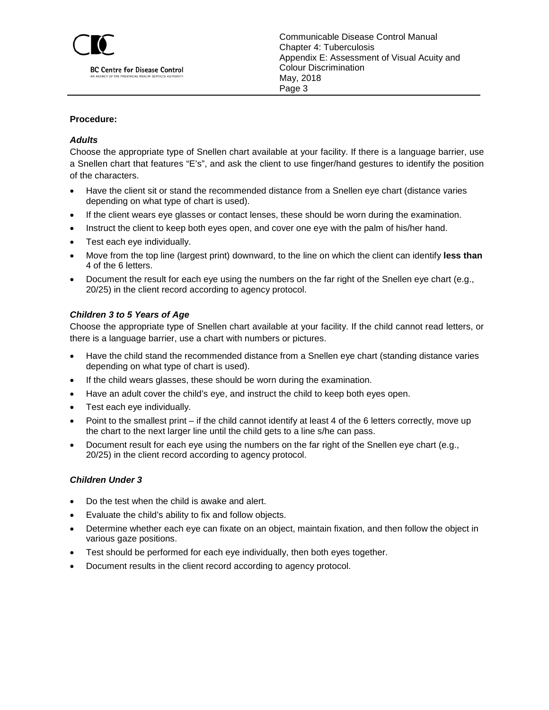

#### **Procedure:**

#### *Adults*

Choose the appropriate type of Snellen chart available at your facility. If there is a language barrier, use a Snellen chart that features "E's", and ask the client to use finger/hand gestures to identify the position of the characters.

- Have the client sit or stand the recommended distance from a Snellen eye chart (distance varies depending on what type of chart is used).
- If the client wears eye glasses or contact lenses, these should be worn during the examination.
- Instruct the client to keep both eyes open, and cover one eye with the palm of his/her hand.
- Test each eye individually.
- Move from the top line (largest print) downward, to the line on which the client can identify **less than** 4 of the 6 letters.
- Document the result for each eye using the numbers on the far right of the Snellen eye chart (e.g., 20/25) in the client record according to agency protocol.

#### *Children 3 to 5 Years of Age*

Choose the appropriate type of Snellen chart available at your facility. If the child cannot read letters, or there is a language barrier, use a chart with numbers or pictures.

- Have the child stand the recommended distance from a Snellen eye chart (standing distance varies depending on what type of chart is used).
- If the child wears glasses, these should be worn during the examination.
- Have an adult cover the child's eye, and instruct the child to keep both eyes open.
- Test each eye individually.
- Point to the smallest print if the child cannot identify at least 4 of the 6 letters correctly, move up the chart to the next larger line until the child gets to a line s/he can pass.
- Document result for each eye using the numbers on the far right of the Snellen eye chart (e.g., 20/25) in the client record according to agency protocol.

#### *Children Under 3*

- Do the test when the child is awake and alert.
- Evaluate the child's ability to fix and follow objects.
- Determine whether each eye can fixate on an object, maintain fixation, and then follow the object in various gaze positions.
- Test should be performed for each eye individually, then both eyes together.
- Document results in the client record according to agency protocol.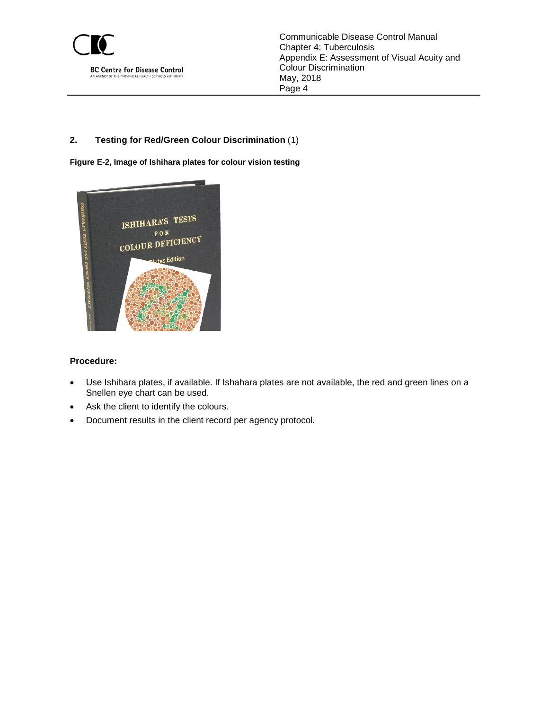

#### <span id="page-4-0"></span>**2. Testing for Red/Green Colour Discrimination** ([1](#page-5-1))

**Figure E-2, Image of Ishihara plates for colour vision testing**



#### **Procedure:**

- Use Ishihara plates, if available. If Ishahara plates are not available, the red and green lines on a Snellen eye chart can be used.
- Ask the client to identify the colours.
- Document results in the client record per agency protocol.